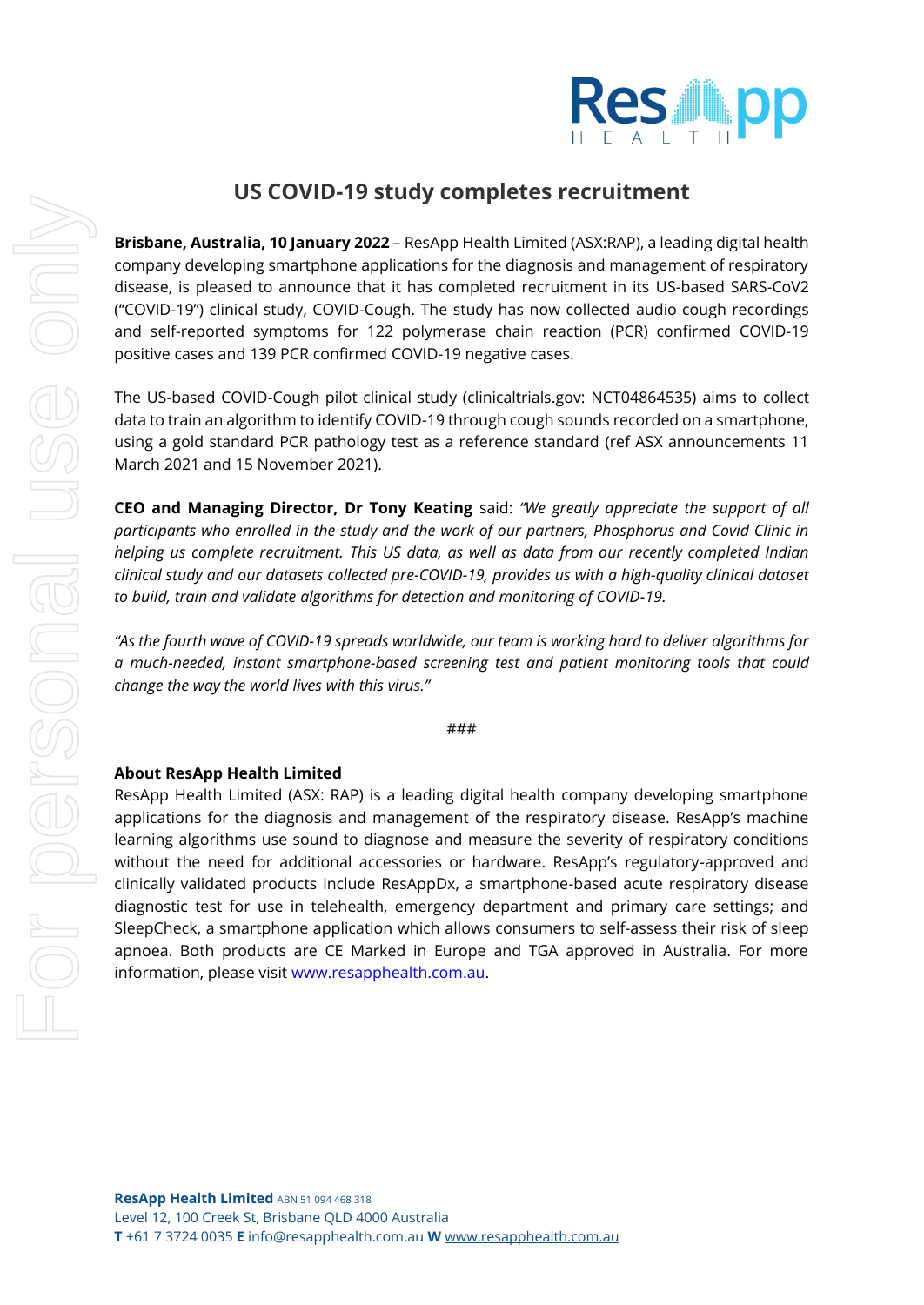

## **US COVID-19 study completes recruitment**

**Brisbane, Australia, 10 January 2022** – ResApp Health Limited (ASX:RAP), a leading digital health company developing smartphone applications for the diagnosis and management of respiratory disease, is pleased to announce that it has completed recruitment in its US-based SARS-CoV2 ("COVID-19") clinical study, COVID-Cough. The study has now collected audio cough recordings and self-reported symptoms for 122 polymerase chain reaction (PCR) confirmed COVID-19 positive cases and 139 PCR confirmed COVID-19 negative cases.

The US-based COVID-Cough pilot clinical study (clinicaltrials.gov: NCT04864535) aims to collect data to train an algorithm to identify COVID-19 through cough sounds recorded on a smartphone, using a gold standard PCR pathology test as a reference standard (ref ASX announcements 11 March 2021 and 15 November 2021).

**CEO and Managing Director, Dr Tony Keating** said: *"We greatly appreciate the support of all participants who enrolled in the study and the work of our partners, Phosphorus and Covid Clinic in helping us complete recruitment. This US data, as well as data from our recently completed Indian clinical study and our datasets collected pre-COVID-19, provides us with a high-quality clinical dataset to build, train and validate algorithms for detection and monitoring of COVID-19.*

*"As the fourth wave of COVID-19 spreads worldwide, our team is working hard to deliver algorithms for a much-needed, instant smartphone-based screening test and patient monitoring tools that could change the way the world lives with this virus."*

###

## **About ResApp Health Limited**

ResApp Health Limited (ASX: RAP) is a leading digital health company developing smartphone applications for the diagnosis and management of the respiratory disease. ResApp's machine learning algorithms use sound to diagnose and measure the severity of respiratory conditions without the need for additional accessories or hardware. ResApp's regulatory-approved and clinically validated products include ResAppDx, a smartphone-based acute respiratory disease diagnostic test for use in telehealth, emergency department and primary care settings; and SleepCheck, a smartphone application which allows consumers to self-assess their risk of sleep apnoea. Both products are CE Marked in Europe and TGA approved in Australia. For more information, please visit [www.resapphealth.com.au.](http://www.resapphealth.com.au/)